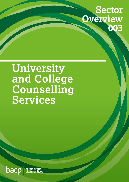

# **University and College Counselling Services**



counselling<br>changes liv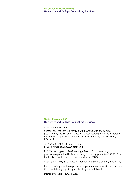#### **Sector Resource 003 University and College Counselling Services**

Copyright information:

Sector Resource 003 *University and College Counselling Services* is published by the British Association for Counselling and Psychotherapy, BACP House, 15 St John's Business Park, Lutterworth, Leicestershire, LE17 4HB.

**T:** 01455 883300 **F:** 01455 550243 **E:** [bacp@bacp.co.uk](mailto:bacp@bacp.co.uk) **[www.bacp.co.uk](http://www.bacp.co.uk)**

BACP is the largest professional organisation for counselling and psychotherapy in the UK, is a company limited by guarantee 2175320 in England and Wales, and a registered charity, 298361.

Copyright © 2017 British Association for Counselling and Psychotherapy.

Permission is granted to reproduce for personal and educational use only. Commercial copying, hiring and lending are prohibited.

Design by Steers McGillan Eves.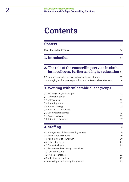# **Contents**

| <b>Context</b>             | 04 |
|----------------------------|----|
| Using the Sector Resources | 04 |
| 1. Introduction            | 05 |

#### **2. [The role of the counselling service in sixth](#page-5-0)[form colleges, further and higher education](#page-5-0)** <sup>05</sup>

| 2.1 How an embedded service adds value to an institution              | 07 |
|-----------------------------------------------------------------------|----|
| 2.2 Managing institutional expectations and professional requirements | 09 |

| 3. Working with vulnerable client groups | 11 |
|------------------------------------------|----|
| 3.1 Working with young people            | 11 |
| 3.2 Vulnerable adults                    | 12 |
| 3.3 Safeguarding                         | 12 |
| 3.4 Reporting abuse                      | 12 |
| 3.5 Prevent strategy                     | 13 |
| 3.6 Managing clients at risk             | 14 |
| 3.7 Client records/storage               | 15 |
| 3.8 Access to records                    | 17 |
| 3.9 Retention of records                 | 17 |
|                                          |    |

### **4. Staffing** 18

| 4.1 Management of the counselling service | 19 |
|-------------------------------------------|----|
| 4.2 Administrative support                | 19 |
| 4.3 Appointment of counsellors            | 20 |
| 4.4 Salary structures                     | 21 |
| 4.5 Contractual issues                    | 21 |
| 4.6 Part-time and temporary counsellors   | 22 |
| 4.7 Lone counsellors                      | 22 |
| 4.8 Trainee counsellors                   | 22 |
| 4.9 Voluntary counsellors                 | 23 |
| 4.10 Working in multi-disciplinary teams  | 25 |
|                                           |    |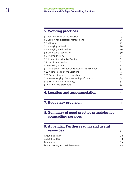# 3 **BACP Sector Resource 003 University and College Counselling Services**

| 5. Working practices                                               |          |
|--------------------------------------------------------------------|----------|
| 5.1 Equality, diversity and inclusion                              | 25       |
| 5.2 Contact hours/caseload management                              | 26       |
| 5.3 Self-care                                                      | 27       |
| 5.4 Managing waiting lists                                         | 28       |
| 5.5 Managing multiple sites                                        | 30       |
| 5.6 Counselling supervision                                        | 30       |
| 5.7 Training and CPD                                               | 31       |
| 5.8 Responding to the 24/7 culture                                 | 31       |
| 5.9 Use of social media                                            | 31       |
| 5.10 Working online                                                | 32       |
| 5.11 Counsellors with additional roles in the institution          | 32       |
| 5.12 Arrangements during vacations                                 | 33       |
| 5.13 Seeing students as private clients                            | 33       |
| 5.14 Accompanying clients to meetings off campus                   | 34       |
|                                                                    |          |
| 5.15 Evaluation and monitoring                                     | 34       |
| 5.16 Complaints' procedure<br>6. Location and accommodation        | 35<br>35 |
| 7. Budgetary provision                                             | 36       |
| 8. Summary of good practice principles for<br>counselling services | 37       |
| 9. Appendix: Further reading and useful<br><b>resources</b>        | 38       |
|                                                                    |          |
| About the authors                                                  | 38       |
| About the editor                                                   | 38       |
| References<br>Further reading and useful resources                 | 39<br>40 |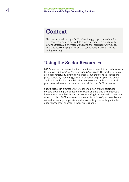# <span id="page-4-0"></span>**Context**

This resource written by a BACP UC working group, is one of a suite of resources prepared by BACP to enable members to engage with BACP's *Ethical Framework for the Counselling Professions* [www.bacp.](http://www.bacp.co.uk/ethics/EFfCP.php) [co.uk/ethics/EFfCP.php](http://www.bacp.co.uk/ethics/EFfCP.php) in respect of counselling in university and college settings.

### **Using the Sector Resources**

BACP members have a contractual commitment to work in accordance with the *Ethical Framework for the Counselling Professions*. The Sector Resources are not contractually binding on members, but are intended to support practitioners by providing general information on principles and policy applicable at the time of publication, in the context of the core ethical principles, values and personal moral qualities that BACP promotes.

Specific issues in practice will vary depending on clients, particular models of working, the context of the work and the kind of therapeutic intervention provided. As specific issues arising from work with clients are often complex, BACP always recommends discussion of practice dilemmas with a line manager, supervisor and/or consulting a suitably qualified and experienced legal or other relevant professional.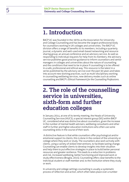# <span id="page-5-0"></span>**1. Introduction**

BACP UC was founded in the 1970s as the Association for University and College Counselling and has become the largest professional body for counsellors working in UK colleges and universities. The BACP UC division offers a range of benefits to its members, including a quarterly journal, a dynamic and well-used email-based networking and resource sharing group, an annual conference and an advisory service. As well as responding to individual requests for help from its members, the advisory service publishes good practice guidance to inform counsellors and senior managers in colleges and universities about the nature of counselling and the conditions that need to be in place if counselling is to be offered in a safe, professional and ethical way. This resource is the latest in a series published by the advisory service over the past 30 years and takes into account new working practices, such as multi-disciplinary working in counselling wellbeing services, new delivery modes such as online counselling and BACP's *Ethical Framework for the Counselling Professions*.

# **2. The role of the counselling service in universities, sixth-form and further education colleges**

In January 2014, at one of its termly meeting, the Heads of University Counselling Services (HUCS), a special interest group (SIG) within BACP UC, considered what was distinctive about counsellors, given the increase in the number of mental health advisers, wellbeing consultants and other staff in further and higher education institutions who often use some counselling skills in the course of their work.

 A distinctive feature is that while counsellors offer psychological and/or emotional support to clients, this is done in the context of the university or college where they work or study. The counsellors also work actively with clients, using a variety of skilled interventions, to facilitate lasting change. Counselling can enable clients to develop insights into their situation and help them to put effective strategies in place to build better personal resources and greater resilience. This leads to a reduction in problems and risk, increased wellbeing, better functioning and improved work or study effectiveness (Broglia, 2015). Counselling offers clear benefits to the individual student or staff member and, to the institution where they study or work.

In university and college settings counselling is usually a systematic process of reflection and action, which often takes place over a number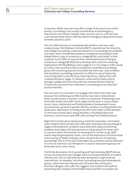of sessions. While many services offer a range of services to see clients quickly, counselling is not usually considered an acute/emergency intervention and if that is needed, other services such as a GP, the local crisis mental health team or NHS Accident & Emergency department would be better placed to assist.

The cost-effectiveness of counselling interventions now has a clear evidence base. Patti Wallace, formerly BACP's Lead Advisor for University and College Counselling, conducted research on counselling and academic outcomes, which showed that students considered counselling to have helped them to stay at university or college (81%), to do better in their academic work (79%), to improve their overall experience of being at university or college (82.8%) and to develop skills useful for obtaining employment (78.1%) (Wallace, 2012, pages 6-11). Focusing on staff, a study by Collins, Dyer and Shave (2012) compared a treatment (counselling) group with a control group and concluded that there was 'clear evidence that workplace counselling represents an effective way of improving functioning within a workforce by reducing distress, dysfunction and underperformance' (page 17). Research conducted by Dailey (2012), amongst college and university staff, also showed that the majority of those who accessed their institution's counselling service reported positive benefits.

The core work of a counsellor is to engage with clients who seek help because their wellbeing and effectiveness have been compromised, either by past events or by their current circumstances. Presenting issues from both student and staff clients might include work or study related issues, stress, relationship and family problems; bereavement; issues around sexual, personal or gender identity; anxiety, including phobias and obsessions; depression, including those who have made suicide attempts or who have suicidal ideas; eating disorders, including bulimia and anorexia; cultural issues; and difficulties arising from childhood abuse.

Nigel (2017) writes about adolescence and brain maturation, and indeed some student clients present with difficulties relating to the psychological stages of development; problems associated with study and learning; problems associated with leaving home or living away from home; and/ or concerns about the transition to working life or further study. Staff clients may bring workplace issues, such as the implications of institutional restructuring, ill health, bullying, stress, and grievance or disciplinary proceedings. Much of the work undertaken by counsellors will be delivered on a one-to-one basis, but therapeutic or psycho-educational groups can be beneficial for some clients.

The British Association for Counselling and Psychotherapy (BACP) Annual Survey of Universities and Colleges 2013/14 showed that 82% of student referrals and 71% of staff referrals were attributed to high-intensity interventions, for example, individual counselling and psychotherapeutic groups, rather than low-intensity one-off workshops and psychoeducation (Broglia, 2015, p8). This suggests that students and staff are presenting with complex mental health needs and that counsellors are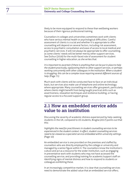<span id="page-7-0"></span>likely to be more equipped to respond to these than wellbeing workers because of their rigorous professional training.

Counsellors in colleges and universities sometimes work with clients who have serious mental health or psychological difficulties. Careful assessment of clients is crucial and whether it is appropriate to offer counselling will depend on several factors, including risk assessment, access to psychiatric consultation and ease of access to local medical and psychiatric services. It will not always be appropriate to offer counselling, as some clients' needs will be better met by other support services. See Dufour (2016) for the multi-faced role of assessment for student counselling in higher education, as she writes that:

*It is important to ascertain if there is anything that can be put in place to help the student practically, signposting them to other support services, or perhaps working concurrently with other colleagues in the institution. When a student is struggling, this can be a complex issue requiring several different sources of help.* (Page 71)

Much work with clients will be conducted face to face on an individual basis, but services also make use of telephone and online technology where appropriate. Many counselling services offer groupwork, particularly where clients might benefit from being taught practical skills such as assertiveness, relaxation techniques and resilience building, or having regular access to a focused support group.

### **2.1 How an embedded service adds value to an institution**

Discussing the severity of academic distress experienced by help-seeking students in the UK, compared to US students, Broglia (2017) points out that this:

*highlights the need for practitioners in student counselling services to be experienced in the student context. In effect, student counselling services need to be viewed as a specialist service embedded within university settings.*  (Page 10)

An embedded service is one provided on the premises and staffed by counsellors who are directly employed by the college or university and managed by a senior figure within it. The counsellors know the institution's culture and act as a resource for the wider institution, such as engaging in preventative work with students who may not have accessed the counselling service, and providing training for academic/support staff on identifying signs of mental distress and how to respond to students or colleagues exhibiting these.

In an increasingly competitive market, it is clear that counselling services need to demonstrate the added value that an embedded service offers;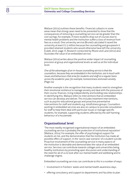Wallace (2014) outlines these benefits. Financial cutbacks in some areas mean that strong cases need to be presented to show that the consequences of removing a counselling service can be greater than the cost savings; for example, if more students drop out of courses due to mental health problems and the institution suffers a loss of revenue from fees as a result. One university service (Brunel) calculated it saved the university at least £1.5 million because the counselling and groupwork it provided retained students who would otherwise have left the university (Caleb, 2015: page 7). Research conducted by Moore and Lane (2012) also illustrates the value of an embedded service.

Wallace (2014) writes about the positive wider impact of counselling provision at group and organisational levels as well as at the individual level:

*One of the advantages of an in-house counselling service is that the counsellors, because they are embedded in the institution, are in touch with issues and behaviours that arise for students and staff on a regular basis across the academic year, for example, homesickness and exam anxiety.*  (Page 24)

Another example is the recognition that many students need to strengthen their emotional resilience to manage anxiety and deal with the pressures of their course, finances, living independently and building new relationships. In identifying this, Wallace refers to interventions that an embedded service can develop and deliver. This includes treatment interventions, such as psycho-educational groups and proactive preventative interventions for staff and students e.g. mindfulness groups. Counsellors working in embedded services are also on campus to provide consultation for staff to help them deal with particular issues or manage specific students, for example, supporting students affected by the self-harming behaviour of a housemate.

#### **Organisational level**

'The most readily recognised organisational impact of an embedded counselling service is probably the protection of institutional reputation' (Wallace, 2014). For example, the offer of psychological support for students at risk, and the demonstration that the institution has made all possible offers of support, in the 'worst case scenario' of a student suicide. Proactive involvement of the counselling service in many aspects of the institution is desirable and demonstrates the value of an embedded service. Services can contribute towards colleges and universities being healthy institutions by promoting open discussion and understanding of the need for all of us to look after our mental health and wellbeing and to challenge stigma.

Embedded counselling services can contribute to this in a number of ways:

- involvement in Freshers' weeks and mental health awareness days.
- offering consultancy and support to departments and faculties to plan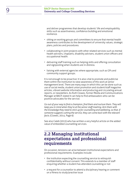<span id="page-9-0"></span>and deliver programmes that develop students' life and employability skills such as assertiveness, confidence building and emotional resilience.

- sitting on working groups and committees to ensure that mental health awareness contributes to the development of university values, strategic plans, policies and procedures.
- collaborating in joint projects with other related services such as mental health advisers, chaplains, disability advisers, student union officers and occupational health.
- delivering staff training such as helping skills and offering consultation and signposting when students are in distress.
- liaising with external agencies where appropriate, such as GPs and community support groups.

It is not enough to be proactive: it is also vital to promote and publicise them within the institution to raise awareness of this work at senior management level. There are many ways in which this can be done such as use of social media, student union promotion and student/staff magazine articles, vibrant website information and producing and circulating annual reports, or newsletters. As Ruth Clowes, former Media and Communications Manager at BACP, stated it can help to find ambassadors who can be positive advocates for the service.

*Go out of your way to find a champion, find them and nurture them. They will keep you in mind when they're at the senior staff meeting. Arm them with the knowledge they need to stick up for counselling and wellbeing, so that, if someone suggests cutting the service, they can come back with the relevant facts.* (Clowes, 2014, Page 6)

See also Caleb (2015) who has written a very helpful article on the added value of embedded counselling services.

### **2.2 Managing institutional expectations and professional requirements**

On occasion, tensions can arise between institutional expectations and professional requirements. Examples include:

- the institution expecting the counselling service to relinquish confidentiality without consent. This extends to a member of staff enquiring whether a student has attended counselling or not
- a request for a counsellor to attend a disciplinary hearing or comment on a fitness to study/practise issue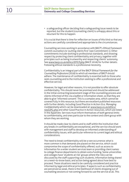• a safeguarding officer deciding that a safeguarding issue needs to be reported, but the student (counselling client) is unhappy about this or reluctant for this to happen.

It is crucial that there is time for reflection on issues of this kind so that any actions are carefully considered and appropriate to the circumstances.

Counselling services working in accordance with BACP's *Ethical Framework* commit counsellors to 'putting clients first' (see Commitment 1). Other commitments include working to professional standards, and showing respect by protecting client confidentiality and privacy, together with principles such as being trustworthy and respecting clients' autonomy. See [www.bacp.co.uk/ethics/EFfCP.php](http://www.bacp.co.uk/ethics/EFfCP.php) (BACP, 2016) for further details. Following ethical standards is a professional necessity.

Confidentiality is an integral part of the BACP *Ethical Framework for the Counselling Professions* (2016) to which all members of BACP should adhere. The maintenance of confidentiality is essential both to those who seek counselling and to the institution seeking to offer a professional and effective service.

However, for legal and other reasons, it is not possible to offer absolute confidentiality. This should never be promised and should be addressed in the initial contracting/assessment stage of the counselling process and clients informed of this via a leaflet or information sheet, so that they are able to give 'informed consent'. This is a complex area, which cannot be covered fully in this resource, but there are excellent published resources with further details, including Good Practice in Action 014: *Managing Confidentiality* which can be downloaded at: [www.bacp.co.uk/ethics/](http://www.bacp.co.uk/ethics/newGPG.php) [newGPG.php](http://www.bacp.co.uk/ethics/newGPG.php) and other Good Practice in Action resources, which are listed in the Appendix. Services must inform themselves of both general limits to confidentiality, and ones particular to the context and client group with whom they are working.

It should be made clear to clients and to staff within the institution that any breaks in confidentiality are exceptional, and the service should work with management and staff to develop an informed understanding of confidentiality issues, with particular reference to current legal and ethical considerations.

The need to break confidentiality will be a rare occurrence; what is more common is that demands are placed on the service, which could compromise the scope of confidentiality offered, such as access to information for a wider student services team or providing client names to college finance departments to obtain extra funding. Some universities and colleges have 'students at risk' groups where the risks can be discussed by the staff supporting such students, information being shared on a need–to-know basis, and action being agreed about how best to proceed. These situations need to be carefully considered and practice informed by legal and ethical principles. If aspects such as confidentiality are perceived as weak, there is the likelihood of clients dropping out of counselling sessions or not coming forward to use the service at all. This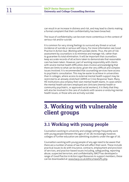<span id="page-11-0"></span>can result in an increase in distress and risk, and may lead to clients making a formal complaint that their confidentiality has been breached.

The issue of confidentiality can be even more contentious in the context of serious risk and/or suicide.

It is common for very strong feelings to surround any threat or actual incidence of suicide or serious self-injury. For more information see Good Practice in Action 042: *Working with suicidal clients*. Thus, the aim of risk assessment by counsellors is to minimise and manage risk, rather than to guarantee its total elimination. It will be important that counsellors keep accurate records of all actions taken to demonstrate that reasonable care has been taken. However, part of working responsibly with clients with severe mental health difficulties does involve acknowledging that there are limits to what can be done, given the very difficult and complex issues involved. It is recommended that counselling services have access to psychiatric consultation. This may be easier to achieve in universities than in colleges, where access to external mental health support may be restricted to an already stretched CAMHS or Crisis Response Team. Many HE institutions also employ their own mental health teams. In cases where the mental health advisers employed are clinicians (mental health or community psychiatric, or approved social workers), it is likely that they will also be involved in the care of students with severe or enduring mental health issues, or those who are actively suicidal.

# **3. Working with vulnerable client groups**

### **3.1 Working with young people**

Counsellors working in university and college settings frequently work with young people between the ages of 16-18; increasingly however, colleges of further education are admitting students under the age of 16.

Counsellors working with young people of any age need to be aware that there are a number of areas of law that will affect their work. These include practical issues to do with insurance, contracts, employment and provision of services, and practice-based issues including, safeguarding, reporting abuse, suspected terrorism, and confidentiality. BACP has developed a range of *Good Practice in Action Legal Resource*s to support members, these can be downloaded at: [www.bacp.co.uk/ethics/newGPG.php.](http://www.bacp.co.uk/ethics/newGPG.php)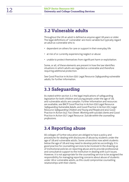### <span id="page-12-0"></span>**3.2 Vulnerable adults**

Throughout the UK an adult is defined as anyone aged 18 years or older. The legal definitions of 'vulnerable' are more variable but typically regard an adult as vulnerable who is:

- dependent on others for care or support in their everyday life
- at risk of or currently experiencing neglect or abuse
- unable to protect themselves from significant harm or exploitation.

Some, or all, of these elements are present in how the law identifies situations in which adults are regarded as vulnerable and therefore requiring additional protection.

See Good Practice in Action 030: Legal Resource *Safeguarding vulnerable adults*, for further information.

### **3.3 Safeguarding**

As stated within section 3.1 the legal implications of safeguarding legislation for both children and young people under the age of 18, and vulnerable adults are complex. Further information and resources are available, see BACP Good Practice in Action 030 Legal Resource *Safeguarding Vulnerable Adults*, and Good Practice in Action 031 Legal Resource *Safeguarding Children and Young and People* and also Good Practice in Action 042: Fact Sheet: *Working with suicidal clients* and Good Practice in Action 057 Legal Resource: *Suicide within the counselling professions.*

### **3.4 Reporting abuse**

All colleges of further education are obliged to have a policy and procedures for dealing with disclosures of abuse by students under the age of 18 and vulnerable adults. Some universities now admit students below the age of 18 and may need to develop policies accordingly. It is good practice for counselling services to be involved in the drawing up of institutional policies on reporting abuse and to provide professional and consultative support to the institution in dealing with such issues. However, it is not appropriate for the counselling service to be assigned the responsibility for managing reporting concerns about abuse of students under 18 or vulnerable adults, as this could compromise counselling relationships with their clients.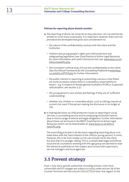#### <span id="page-13-0"></span>**Policies for reporting abuse should consider:**

- **a.** The reporting of abuse can never be an easy decision, nor can policies be written to cover every eventuality. It is important, however, that a service procedure be developed that gives due consideration to:
	- the nature of the confidentiality contract with the client and the institution
	- children and young people's rights and child protection and safeguarding legislation (see *Good Practice in Action Legal Resources* for more information and useful disclosure lists see: [www.bacp.co.uk/](http://www.bacp.co.uk/ethics/newGPG.php) [ethics/newGPG.php](http://www.bacp.co.uk/ethics/newGPG.php)
	- the counsellor's ethical duty of trust and confidentiality to the client. (See the *Ethical Framework for the Counselling Professions* [www.bacp.](http://www.bacp.co.uk/ethics/EFfCP.php) [co.uk/ethics/EFfCP.php](http://www.bacp.co.uk/ethics/EFfCP.php) for further information)
	- the public interest in reporting or preventing a serious crime (there are some occasions where there is a mandatory responsibility to report – e.g. in respect of female genital mutilation (FGM) or suspected radicalisation, see section 3.5)
	- the young person's own wishes and feelings if they are of 'sufficient understanding'
	- whether any children or vulnerable adults, such as siblings may be at current risk, even if the person making the disclosure is no longer at risk.
- **b.** In making decisions on child protection issues or reporting to social services, a counselling service and its employing institution have to bear in mind a range of ethical and legal obligations. Further information about these can be found in the BACP *Good Practice in Action Legal Resources*, which can be downloaded at: [www.bacp.co.uk/ethics/](http://www.bacp.co.uk/ethics/newGPG.php) [newGPG.php.](http://www.bacp.co.uk/ethics/newGPG.php)

The overriding principle in all decisions regarding reporting abuse is to make them with the 'best interest of the child (or young person)' in mind. However, this is far from simple, as risk can include risk to the client, but also that of a younger sibling. This is a complicated legal and ethical issue and all counsellors working with this age group are advised to read the literature published on this subject and consult with supervisors, service managers and local agencies.

### **3.5 Prevent strategy**

From 1 July 2015 specific authorities including schools, sixth-form, universities and FE colleges are subject to a duty under section 26 of the Counter Terrorism and Security Act 2015 (CTS) to have 'due regard' to the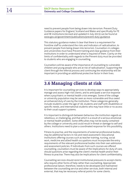<span id="page-14-0"></span>need to prevent people from being drawn into terrorism. Prevent Duty Guidance papers for England, Scotland and Wales and specifically for FE and HE institutions (revised and updated in July 2015) can be found at [www.gov.uk/government/publications/prevent-](http://www.gov.uk/government/publications/prevent-duty-guidance)duty-guidance.

This statutory guidance makes it clear that there is a requirement for frontline staff to understand the risks and indicators of radicalisation, to prevent people from being drawn into terrorism. Counsellors in colleges and universities must have Prevent training and clear guidance from their institutions in order to understand what is required of them. Clarity on the limits of confidentiality with regards to the Prevent duty must be provided to students who are engaging in counselling.

Counsellors will be aware of the importance of counselling to vulnerable children and young people who are at risk of radicalisation. Supporting the client through the referral process and continuing the relationship will be important in providing an additional protective factor in their lives.

### **3.6 Managing clients at risk**

It is important for counselling services to develop ways to appropriately manage and assess high-risk clients, and to anticipate a service response when a psychiatric or mental health crisis emerges. Some of the college or university population may be seen as more vulnerable and thus owed an enhanced duty of care by the institution. These categories generally include students under the age of 18, students and staff with disabilities or specific needs, and international students who may have little or no access to their usual support systems.

It is important to distinguish between behaviour the institution regards as rebellious, or challenging, and that which is a result of a serious emotional or mental health problem. Some difficulties may not be easily contained by the college or university and could result in threat or damage to self and others. Institutions need to plan a coordinated response for this possibility.

Fitness to practise, and the requirements of external professional bodies, may be additional factors in risk and need assessment. Educational institutions offering courses such as teacher training, nursing, social work, medicine and allied health occupations must incorporate the entry requirements of the relevant professional bodies into their own admission and assessment policies. If individuals from such courses are offered counselling, counsellors must be aware of the implications for duty of care, should questions arise regarding the client's mental health and/or their fitness to practise. There may also be implications for client confidentiality.

Counselling services should resist institutional pressures to accept clients who require other forms of help rather than counselling. Appropriate professional liaison, therefore, needs to be developed and maintained between the counselling service and other services, both internal and external, that may be necessary referral points for some clients.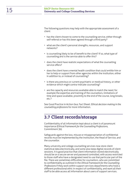<span id="page-15-0"></span>The following questions may help with the appropriate assessment of a client:

- has the client chosen to come to the counselling service, either through self-referral or has this been agreed through a third party?
- what are the client's personal strengths, resources, and support networks?
- is counselling likely to be of benefit to the client? If so, what type of counselling and is the service able to offer this?
- does the client have realistic expectations of what the counselling service offers?
- does the client have a mental health condition that could entitle him or her to help or support from other agencies within the institution, either in addition to, or instead of counselling?
- is there any previous or current psychiatric or medical history, or other evidence which might contra-indicate counselling?
- are the capacity and resources available able to match the need, for example the expertise and training of the counsellors, limitations of time and space available, proximity to the end of the course, long breaks, etc<sub>2</sub>

See Good Practice in Action 044: Fact Sheet: *Ethical decision making in the counselling professions* for more information.

### **3.7 Client records/storage**

Confidentiality of all information kept about a client is of paramount importance (E*thical Framework for the Counselling Professions*, Commitment 3b).

Safeguards against the loss, misuse or misappropriation of confidential records must be implemented by the institution, the Head of Service, and the counsellor.

Many university and college counselling services now store client statistical data electronically, and some also keep digital records of client sessions. It is good practice that client information stored electronically should be on a secure server and password controlled, with access restricted to those staff who have a designated need to use that particular part of the file. There are sometimes difficulties for counsellors, who are committed to confidentiality as outlined in the *Ethical Framework for the Counselling Professions* if they work within support services departments who hold a different professional ethic in respect of confidentiality, and want all their staff to be able access all information about users of support services.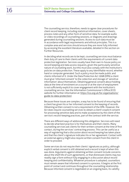The counselling service, therefore, needs to agree clear procedures for client record keeping, including statistical information, cover sheets, process notes and any other form of sensitive data, for example audio or video recordings of counselling sessions, or diagrams and drawings generated during counselling sessions. Access to such data must be in accordance with legal requirements and ethical principles. This is a complex area and services should ensure they are more fully informed by accessing the excellent literature available, detailed in the section on Further Resources.

In deciding what records are to be kept, counselling services must balance their duty of care to their clients with the requirements of current data protection legislation. Services usually have their own in-house policy on record keeping and data access requests, given the particularly sensitive nature of counselling work, but this must also comply with the institution's policies on data protection. These apply to any identifiable record, whether hand or computer generated. Such a policy must be made public and clients informed of it. Under the Data Protection Act 1998 (DPA) a client must give 'informed consent' to the collection and storage of 'sensitive information' about themselves. Obtaining general consent about holding data at the time of enrolment on a course or at the start of employment is not sufficiently explicit to cover engagement with the institution's counselling service. See the Information Commissioner's Office (ICO) website for further information at: [https://ico.org.uk/for-organisations/](https://ico.org.uk/for-organisations/guide) [guide-](https://ico.org.uk/for-organisations/guide)to-data-protection/.

Because these issues are complex, a way has to be found of ensuring that a client has given his or her informed consent to the keeping of records. Obtaining written consent is not a requirement of the DPA. However, the Act does require counselling services to obtain a client's explicit consent for processing sensitive data and to make acceptance by the client of the service's record-keeping practices, part of the contract with the service.

There are different ways of addressing this obligation. Services will need to decide what best practice is for themselves and their clients. Many counselling services ask clients for their written consent at the time of first contact, during the services' contracting process. This can be useful as a way of registering that a discussion about record keeping has taken place and that the client's signature indicates his or her agreement. Contact with an external agency might also require written consent from the client in order to proceed.

Some services do not require their clients' signatures as policy, although explicit verbal consent is still obtained and a record is kept of when this was done. Arguments against obtaining written consent include concerns about the shelf life of such agreements, or that distressed clients may too readily sign a form without fully engaging in a discussion about record keeping and confidentiality. Whatever procedure is adopted, counsellors must remain aware that informed consent is a process. It begins at the first point of contact and continues throughout the counselling relationship. Because informed consent is negotiated on an ongoing basis, its validity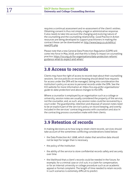<span id="page-17-0"></span>requires a continual assessment and re-assessment of the client's wishes. Obtaining consent is thus not simply a legal or administrative response. It also needs to take into account the changing and evolving nature of the counselling and the counselling relationship. *Good Practice in Action* resources are being developed to support practitioners in making the contract these can be downloaded at: [http://www.bacp.co.uk/ethics/](http://www.bacp.co.uk/ethics/newGPG.php) [newGPG.php](http://www.bacp.co.uk/ethics/newGPG.php)

Please note that a new General Data Protection Regulation (GDPR) will come into force in May 2018, and that this is likely to impact on counselling practice. [https://ico.org.uk/for-organisations/data-protection-reform/](https://ico.org.uk/for-organisations/data-protection-reform/guidance) [guidance-](https://ico.org.uk/for-organisations/data-protection-reform/guidance)what-to-expect-and-when/

### **3.8 Access to records**

Clients may have the right of access to records kept about their counselling sessions. Service policies on record keeping should detail how requests for access under the DPA will be managed, taking into consideration the institution's policy on access to personal records under the DPA. See the ICO website for more information at: *[https://ico.org.uk/for-organisations/](https://ico.org.uk/for-organisations/guide) [guide](https://ico.org.uk/for-organisations/guide)-to-data-protection/* and above changes to the DPA.

Where a counsellor is employed by an organisation such as a college or university, session notes are usually considered the property of the service, not the counsellor, and, as such, any session notes could be recovered by a court order. The guardianship, retention and disposal of session notes need to be an explicit part of the service's policy on record keeping, and overtly included in the services' contracting process with counsellors and also in the contracting process counsellors make with their clients.

### **3.9 Retention of records**

In making decisions as to how long to retain client records, services should take account of the sometimes conflicting considerations listed below:

- the Data Protection Act 1998, which states that sensitive data should not be kept for longer than is necessary
- the policy of the institution
- the ability of the service to store confidential records safely and securely over time
- the likelihood that a client's records could be needed in the future, for example, for a criminal case or civil suit, in a claim for compensation, or for an internal university or college procedure such as an academic appeal or formal complaint. The length of time needed to retain records in such scenarios is extremely difficult to predict.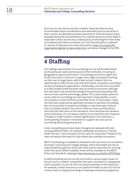<span id="page-18-0"></span>Each service will need to decide a realistic timescale that can best accommodate these considerations and what best practice would be in their context. An alternative position would be to shred all session notes, keeping minimal factual information for a limited amount of time. What is important is that a service has a stated policy on the length of time notes are retained, that clients are aware of it, and that this policy is adhered to. See the ICO guidance for more information: [https://ico.org.uk/for](https://ico.org.uk/for-organisations/guide)[organisations/guide-](https://ico.org.uk/for-organisations/guide)to-data-protection/ and above changes to the DPA.

# **4 Staffing**

The staffing requirements of a counselling service will be determined by the particular needs and resources of the institution, including its geographical layout and location. Counselling provision in higher and further education is diverse. It ranges from single counsellors working on their own to large teams, which may include a Head of Service, administrative staff and full, part-time and trainee counsellors providing a variety of therapeutic approaches. Traditionally, one full-time counsellor to 3,000 students/staff has been seen as minimum provision, although this may need to be revised according to the particular population the service covers and the percentage uptake. This is particularly salient as access rates to counselling services have been rising steadily, or even very sharply in some institutions (see Mair 2014). In recent years, many services have experienced significant increases in demand, but staffing has not necessarily increased accordingly, or may have been reduced due to funding restraints. As a result, many services currently have a ratio that falls well short of the one above. Given the financial climate in some institutions, it is not always realistic to increase this ratio. However, if student or staff numbers increase significantly in an institution, a corresponding increase in investment in support services such as counselling would be good practice.

Some counselling posts have been changed and replaced with jobs carrying different titles, for example, wellbeing consultants or mental health advisers. Such provision can be useful in institutions. However, this does not replace the need for fully trained and qualified counsellors.

BACP is developing a competency framework and curriculum for counsellors working in university and college settings, which will enable services to match potential applicant skills with those seen as necessary for working within the sector. When available, these will be available on the BACP Ethics and Standards' webpage:<http://www.bacp.co.uk/ethics/EFfCP.php>.

A staff counselling service can be structured in various ways: as part of the service for students, using either the same counsellors or designated staff counsellors; as part of a service based elsewhere in the institution, for example, human resources or occupational health; as part of a service contract with a company providing an employee assistance programme,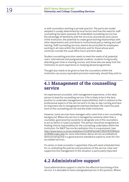<span id="page-19-0"></span>or with counsellors working in private practice. The particular model adopted is usually determined by local factors and how the need for staff counselling has been assessed. An embedded counselling service has the advantage of familiarity with the structure, procedures and culture of the institution, the potential to create good working relationships with other departments and contribute to institutional policy making and staff training. Staff counselling services need to be accessible for employees working in all roles within the institution and for those whose work continues outside the usual office hours and term dates.

Student counselling provision needs to meet the needs of all potential users: international and postgraduate students, students living locally, attending part-time or evening courses, and those who are away from the institution on work experience or studying abroad programmes.

Thought also needs to be given to how the counsellors within the institution can access equivalent provision externally, should they wish to.

### **4.1 Management of the counselling service**

An experienced counsellor, with management experience, is the ideal person to lead the counselling service. S/he is likely to be in the best position to undertake management responsibilities, both in relation to the professional aspects of the service and in its day-to-day running and have an important role in managing the interface between the client-focused work of the counselling service and the wider institution.

However, some services have managers who come from a non-counselling background. Where the service is managed by someone other than a counsellor, good practice would be to designate one of the counsellors to act as Senior or Lead Counsellor. This person should be recognised as holding clinical responsibility for the counselling undertaken within the institution. For BACP Service Accreditation this is a requirement, (see: [http://www.bacp.co.uk/accreditation/COURSE%20ACCREDITATION%20](http://www.bacp.co.uk/accreditation/COURSE%20ACCREDITATION%20SCHEME/index.php) [SCHEME/index.php](http://www.bacp.co.uk/accreditation/COURSE%20ACCREDITATION%20SCHEME/index.php) for more information about service accreditation), demonstrating that is a good practice standard to aspire to, even for nonaccredited services.

If a senior or lead counsellor is appointed, they will need scheduled time for co-ordinating the policies and procedures of the service. Clear and supportive line management in this situation is particularly important.

### **4.2 Administrative support**

Good administrative support is vital for the effective functioning of the service. It is desirable to have a designated person in this position. Where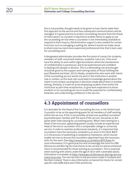<span id="page-20-0"></span>this is not possible, thought needs to be given to how clients make their first approach to the service and how subsequent communications will be managed. It is good practice to protect counselling sessions from the threat of interruption, so a system is required to enable clients to apply to use the counselling service when a counsellor is not immediately available to respond to their enquiry. Administrative support is also needed for certain functions such as managing a waiting list, where it would not make sense to divert precious (and more expensive) professional time that is best used for counselling work.

A designated administrator provides the first point of contact for students, members of staff, concerned relatives, academic tutors etc. S/he must have the ability to work within tight boundaries where the maintenance of confidentiality is paramount, and to be experienced and confident in dealing with people in distress. This is a demanding role and thought should be given to the support and training needs of those fulfilling the post (Rowland and Aster, 2012). Ideally, receptionists who work with clients of the counselling service would not work in the institution in another role or context, as this dual role could lead to knowledge gained about the client in one context causing bias in decisions made about them in another setting. Similarly, it is best to avoid employing students from within the institution as part-time receptionists, or give work experience to those students in its counselling service to avoid the potential for confidentiality breaches, and undermining confidence in the service.

### **4.3 Appointment of counsellors**

It is desirable for the Head of the Counselling Service, or the Senior/Lead Counsellor to be on the appointing panel for all members of staff working within the service. If this is not possible, at least one qualified counsellor/ psychotherapist, familiar with the work of the service, should be on the panel when interviewing for counselling posts. When interviewing for a Head of Service post, appointing panels usually include an experienced Head of Service or counsellor from a comparable college or university service. In order to maintain professional standards, it is important that counsellors have the necessary competency to work in this field. BACP is in the process of publishing a competency framework, which should enable services to ensure the counsellors appointed have the necessary skills for the work. (See<http://www.bacp.co.uk/ethics/EFfCP.php>for more information.) It is good practice and increasingly the norm for DBS (Disclosure and Barring Service) checks to be carried out and an enhanced check is recommended for those working as counsellors. This is essential when working with clients under the age of 18 or with vulnerable adults. Information is available at [https://www.gov.uk/disclosure-barring-service](https://www.gov.uk/disclosure-barring-service-check/overview)[check/overview.](https://www.gov.uk/disclosure-barring-service-check/overview) The site has links to the provisions made in Scotland and Northern Ireland. There is also information on barred list checks for certain specific roles (DBS Adult and Child workforce).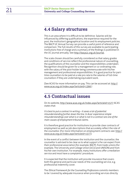### <span id="page-21-0"></span>**4.4 Salary structures**

This is an area where it is difficult to be definitive. Salaries will be influenced by differing qualifications, the experience required for the post, the institution's geographical location and its employment policies. The BACP UC Annual Survey can provide a useful point of reference and comparison. The full results of this survey are available to participating institutions free of charge and a summary of the findings is published in the UC journal annually. See<http://bacpuc.org.uk/journal>.

The scale chosen should be carefully considered so that salary grades and conditions of service reflect the professional nature of counselling, the qualifications of the counsellor and the responsibilities undertaken. Recognition should be given for a management or co-ordinating role, with the salary of the post-holder being commensurate with his/her management and professional responsibilities. It is good practice for parttime counsellors to be paid at a rate pro rata to the salaries of full-time counsellors if they are undertaking equivalent work.

(See ACAS for more information on pay. This can be accessed at: [http://](http://www.acas.org.uk/index.aspx?articleid=1366) [www.acas.org.uk/index.aspx?articleid=1366.](http://www.acas.org.uk/index.aspx?articleid=1366))

### **4.5 Contractual issues**

On its website,<http://www.acas.org.uk/index.aspx?articleid=1577>ACAS states that:

*It is best to put a contract in writing – it saves a lot of potential misunderstanding further down the line. In Acas' experience simple misunderstandings over what is or what is not in a contract are one of the main causes of employment tribunal claims.* 

It is therefore good practice for institutions to provide clear contracts of employment as well as job descriptions that accurately reflect the role of the counsellor. (For more information on employment contracts see: [http://](http://www.acas.org.uk/index.aspx?articleid=1577.) [www.acas.org.uk/index.aspx?articleid=1577.\)](http://www.acas.org.uk/index.aspx?articleid=1577.)

In the event of a conflict between the institution and the counsellor, the counsellor is advised to be clear as to what support s/he can expect from their professional association (for example, BACP), from trade unions (for example, The University and College Union (UCU) and UNISON) and from his/her own institution. For example, many institutions offer a mediation service and most have a complaints' procedure.

It is expected that the institution will provide insurance that covers both the general and particular needs of the counselling service, e.g. professional indemnity cover.

The *Ethical Framework for the Counselling Professions* commits members to be 'covered by adequate insurance when providing services directly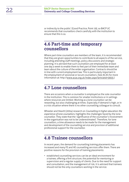<span id="page-22-0"></span>or indirectly to the public' (Good Practice, Point 19), so BACP UC recommends that counsellors check carefully with the institution to ensure that this is so.

### **4.6 Part-time and temporary counsellors**

Where part-time counsellors are members of the team, it is recommended that they are given opportunities to contribute to all aspects of the service, including attending staff meetings, policy discussions and strategic planning. It is advised that such counsellors are employed for at least one day a week to enable them to feel part of their immediate team and learn about the culture of the wider organisation. Contracts should be in line with current employment law. This is particularly important in the employment of sessional or locum counsellors. (See ACAS for more information at:<http://www.acas.org.uk/index.aspx?articleid=3603.>)

### **4.7 Lone counsellors**

There are occasions when a counsellor is employed as the sole counsellor in the institution. This is common for smaller institutions or in settings where resources are limited. Working as a lone counsellor can be rewarding, but also challenging at times. Especially if demand is high, or in a crisis situation where there is no other counselling colleague to consult.

Wheeler and Hewitt (2004) research on *Counselling in higher education: the experience of lone counsellors*, highlights the challenges faced by the lone counsellor. They state that the 'significance of the counsellor's involvement in the organisation was not to be underestimated'. Therefore, for lone counsellors, a time allowance needs to be made for the management and development of the counselling service and provision of additional professional support for the counsellor.

### **4.8 Trainee counsellors**

In recent years, the demand for counselling training placements has increased and many FE and HE counselling services offer them. There are positive reasons for the provision of training placements:

• established counselling services can be an ideal environment for a trainee, offering a firm structure, the potential for mentoring or supervision and a regular supply of clients. Due to the need for support and consultation, and the management of risk, it is advised that trainees should not be the only counsellors working in the service.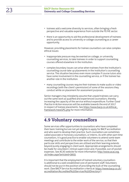- <span id="page-23-0"></span>• trainees add a welcome diversity to services, often bringing a fresh perspective and valuable experience from outside the FE/HE sector.
- there is an opportunity to aid the professional development of trainees and to provide access to university or college counselling as a career opportunity.

However, providing placements for trainee counsellors can raise complex ethical issues:

- inappropriate pressure may be exerted on college, or university counselling services, to take trainees in order to support counselling courses offered elsewhere in the institution.
- complex boundary issues can arise when trainees from the institution's counselling course take up placements in the institution's counselling service. The situation becomes even more complex if course tutors also have some involvement in the counselling service, or if the trainee has another role in the institution.
- many counselling courses require their trainees to make audio or video recordings (with the client's permission) of some of the sessions they conduct while on placement for assessment purposes.

Senior managers may mistakenly assume that unpaid trainees can carry out the same work as qualified and experienced counsellors, thereby increasing the capacity of the service without expenditure. Further *Good Practice in Action* resources will be available towards the end of 2017 in respect of trainee placements. See [https://www.bacp.co.uk/ethical\\_](https://www.bacp.co.uk/ethical_framework/newGPG.php) [framework/newGPG.php](https://www.bacp.co.uk/ethical_framework/newGPG.php) for more information.

### **4.9 Voluntary counsellors**

Some services offer opportunities to counsellors who have completed their basic training but are not yet eligible to apply for BACP accreditation and who want to develop their practice. Such counsellors are sometimes called associate or honorary counsellors, or interns. As with other part-time counsellors, it is good practice to enable volunteers to attend some team meetings and contribute to the wider work of the service, so that their particular skills and perspectives are utilised and their learning extends beyond purely engaging in client work. Appropriate arrangements should be made for volunteers' clinical supervision and, if possible, out-of-pocket expenses. See ACAS website for more information: [http://www.acas.org.](http://www.acas.org.uk/index.aspx?articleid=3603.) [uk/index.aspx?articleid=3603.](http://www.acas.org.uk/index.aspx?articleid=3603.)

It is important that the employment of trained voluntary counsellors is additional to a well-established core of permanent staff. Volunteers should not be put in the position of providing the bulk of the counselling work. (See BACP Service Accreditation criteria at: [https://www.bacp.co.uk/](https://www.bacp.co.uk/accreditation/Accredited) [accreditation/Accredited](https://www.bacp.co.uk/accreditation/Accredited)%20Services%20Directory/.)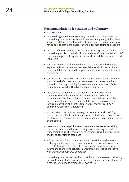#### **Recommendations for trainee and voluntary counsellors**

- before taking on trainee or voluntary counsellors, it is important that counselling services are well established and adequately staffed. New services and those going through restructuring or re-organisation may not be able to provide the necessary stability, monitoring and support
- the head of the counselling service is normally responsible for the counselling provision in the institution and therefore accountable to his/ her line manager for the quality of any work undertaken by trainees and volunteers
- it is good practice to allocate trainees and volunteers a designated, experienced mentor, holding a substantial post within the service, to provide a full induction and to support and monitor their practice on an ongoing basis
- consideration needs to be paid to the appropriate matching of clients with the level of expertise and experience of the trainee or voluntary counsellor. The responsibility for assessment and allocation of clients normally rests with the Head of the Counselling Service
- the caseloads of trainee and volunteer counsellors should be commensurate with their levels of training and experience. It is recommended that inexperienced trainees undertake no more than three contact hours per week, and that the work of such counsellors forms no more than 30% of the total work of the service. (BACP Counselling Service Accreditation)
- it is important that services have regular, formal links with training providers. Steps should be taken to ensure that a trainee's experience on placement is complementary to their academic and personal learning on the course
- there should be an explicit three-way contract between the training course, the trainee and the counselling service, making clear where responsibilities lie. This contract needs to address working structures and the supervision of caseloads
- written contracts for volunteers no longer in training can be useful, outlining what is expected of them and what the institution offers in return. Institutions often have their own policies about employing interns and counselling services' managers are advised to check this with their human resource department
- counselling services need to check that the insurance cover provided by the institution includes work undertaken by trainees and/or volunteers. If not they will need to arrange their own cover.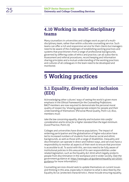### <span id="page-25-0"></span>**4.10 Working in multi-disciplinary teams**

Many counsellors in universities and colleges work as part of a multidisciplinary team, rather than within a discrete counselling service. Such teams can offer a rich and responsive service for their clients but managers need to be aware of the challenges of establishing working practices and systems that practitioners from a range of professional backgrounds, governed by differing codes of ethics and practice, can all subscribe to. Assessment and referral procedures, record keeping and information sharing principles and a mutual understanding of the working practices and cultures of all colleagues in the team need to be developed and monitored.

# **5 Working practices**

### **5.1 Equality, diversity and inclusion (EDI)**

Acknowledging other cultures' ways of seeing the world is given more emphasis in the *Ethical Framework for the Counselling Professions*. BACP members are now required to demonstrate the personal moral quality of respect by 'showing appropriate esteem for people and their understanding of themselves' (Personal Moral Quality, Point 12). Also, members must:

*take the law concerning equality, diversity and inclusion into careful consideration and to strive for a higher standard than the legal minimum.*  (Good Practice, Point 23)

Colleges and universities have diverse populations. The impact of widening participation and the globalisation of higher education have led to increased numbers of students from diverse social and ethnic backgrounds, as well as those with a range of disabilities. Inequality and discrimination can operate in direct and indirect ways, and services have a responsibility to monitor all aspects of their work to ensure that provision is accessible to all. To assist with this, services need to be fully aware of institutional policies in this area and of its own responsibilities under related legislation, such as the Equality Act 2010 which legally protects people from discrimination in the workplace and in wider society. (See the government guidance at: [https://www.gov.uk/guidance/equality-](https://www.gov.uk/guidance/equality-act-2010-guidance)act-2010 guidance for more information.)

Counselling services should seek to update themselves on current issues and thinking in this area, especially in relation to what is described by the Equality Act as 'protected characteristics', these include ensuring equality,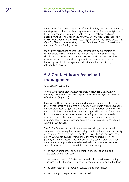diversity and inclusion irrespective of: age, disability, gender reassignment, marriage and civil partnership, pregnancy and maternity, race, religion or belief, sex, sexual orientation, in both their organisational and practicebased activities. A number of *Good Practice in Action* resources in respect of EDI will be published in 2018 including 062 Commonly Asked Questions: *Equality, Diversity and Inclusion*, and 080 Fact Sheet: *Equality, Diversity and Inclusion: Reasonable Adjustment*.

Staff training is needed to ensure that counsellors, administrators and receptionists are up to date on the relevant legislation, and services should ensure that this is embedded in their practice. Counsellors have a duty to work with clients in an open-minded way and ensure their knowledge of clients' backgrounds, identities, values and lifestyles is informed and accurate.

### **5.2 Contact hours/caseload management**

Tarren (2016) writes that:

*Working as a therapist in university counselling services is particularly challenging: demand for counselling continues to increase yet resources are often limited.* (Page 197)

It is essential that counsellors maintain high professional standards in their clinical practice in order to best support vulnerable clients. Given the emotionally challenging nature of this work, it is important to review how much clinical work counsellors should be engaged in per day. Clinical work in this context includes one-to-one counselling, groupwork, workshops, drop-in sessions, the supervision of associate or trainee counsellors, attending casework meetings and any administration directly connected with their client work.

The *Ethical Framework* commits members to working to professional standards by 'ensuring that our wellbeing is sufficient to sustain the quality of the work'. Yet, an informal survey of 26 universities on HUCS mailbase (Percy, 2014, unpublished) showed that the five-hour (clinical work) per day was the model that was most commonly used in practice. When determining an appropriate weekly caseload for a counsellor however, several factors need to be taken into account including:

- the degree of managerial, administrative and reception support available to the counsellor
- the roles and responsibilities the counsellor holds in the counselling service and the balance between workload during term and out of term
- the percentage of 'no shows' or cancellations experienced
- the training and experience of the counsellor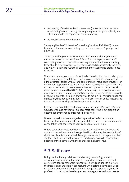- the severity of the issues being presented (one or two services use a 'case loading' model which gives weighting to severity, complexity and risk in relation to the capacity of each counsellor)
- the level of demand on the service.

Surveying Heads of University Counselling Services, Mair (2016) shows how much demand for counselling has increased over a 10-year period (Page 14).

Some counselling services experience high demand all the year round and a low rate of missed sessions. This is often the experience of staff counselling services. Counsellors working in such situations are unlikely to be able to function effectively if their caseload is consistently too high, and will not be able to fulfil their commitment to working to professional standards.

When determining counsellors' caseloads, consideration needs to be given to the time required for follow-up work to counselling sessions such as administration; liaison with GP and community mental health providers, or with other support services in the institution; reading and research related to clients' presenting issues; the consultative support and professional development required by BACP's *Ethical Framework*. If counsellors deliver groupwork or staff training, preparation time for this needs to be taken into account. In order for a counselling service to make a full contribution to the institution, time needs to be allocated for discussion on policy matters and for building relationships with other relevant services.

In order to carry out their additional duties, the Head of Service or Senior Counsellor should have fewer client contact hours, the exact proportion determined by the range of responsibilities held.

Where counsellors are employed on a part-time basis, the balance between clinical work and other responsibilities needs to be maintained in consultation with the Head of Service or Senior Counsellor.

Where counsellors hold additional roles in the institution, the hours set aside for counselling should be organised in such a way that continuity of client work is not compromised. Arrangements need to be in place so that students and staff are not prevented from having access to counselling because of their contact with the counsellor in another role.

### **5.3 Self-care**

Doing predominantly brief work can be very demanding, even for very experienced counsellors, and it is important for counsellors and counselling service managers to bear this in mind and seek to alleviate the impact on counsellors if counsellor burn-out is to be avoided. Good caseload management is important as is adequate supervision, time for professional contact with colleagues and managers, as well as access to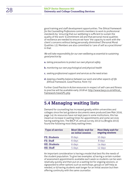good training and staff development opportunities. The *Ethical Framework for the Counselling Professions* commits members to work to professional standards by: 'ensuring that our wellbeing is sufficient to sustain the quality of the work' (Commitment 2d) and that personal moral qualities of resilience are needed to ensure we have 'the capacity to work with the client's concerns without being personally diminished' (Personal Moral Qualities 12). Members are also committed to 'care of self as a practitioner' in that:

*We will take responsibility for our own wellbeing as essential to sustaining good practice by:* 

- **a.** *taking precautions to protect our own physical safety*
- **b.** *monitoring our own psychological and physical health*
- **c.** *seeking professional support and services as the need arises*
- **d.** *keeping a healthy balance between our work and other aspects of life (Ethical Framework, Good Practice, Point 75)*

Further *Good Practice in Action* resources in respect of self-care and fitness to practise will be available early 2018 at: [http://www.bacp.co.uk/ethical\\_](http://www.bacp.co.uk/ethical_framework/newGPG.php) [framework/newGPG.php](http://www.bacp.co.uk/ethical_framework/newGPG.php)

### **5.4 Managing waiting lists**

Demand for counselling has increased greatly within universities and colleges since the last guidance documents were produced (see Mair 2016, page 14). As resources have not kept pace in some institutions, this has meant an increase in waiting times for appointments and some services having waiting lists. The BACP UC annual survey 2013/14 (Broglia 2015) found the following most likely waiting times:

| <b>Type of service</b> | <b>Most likely wait for</b><br>an initial session | <b>Most likely wait for</b><br>ongoing sessions |
|------------------------|---------------------------------------------------|-------------------------------------------------|
| <b>FE: Students</b>    | 8 days                                            | 10 days                                         |
| <b>FE: Staff</b>       | 6 days                                            | 8 days                                          |
| <b>HE: Students</b>    | 6 days                                            | 14 days                                         |
| <b>HE: Staff</b>       | 5 days                                            | 12 days                                         |

An important consideration is having a model that best fits the needs of the student population. To give two examples: a) having a certain number of assessment appointments available each week so students can be seen relatively quickly and then put on a waiting list for ongoing sessions, or signposted to other options such as workshops, groups or self-help as needed, or b) having students wait longer for an initial session but then offering continuity with the same counsellor.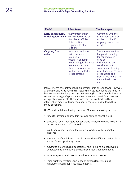| <b>Model</b>                             | <b>Advantages</b>                                                                                                                                                                           | <b>Disadvantages</b>                                                                                                                                                                                                                                  |
|------------------------------------------|---------------------------------------------------------------------------------------------------------------------------------------------------------------------------------------------|-------------------------------------------------------------------------------------------------------------------------------------------------------------------------------------------------------------------------------------------------------|
| Early assessment/<br>initial appointment | • Early intervention<br>• May reduce drop out<br>• May be a sufficient<br>intervention or<br>signpost to other<br>options                                                                   | • Continuity with the<br>same counsellor may<br>not be possible if<br>ongoing sessions are<br>needed                                                                                                                                                  |
| <b>Ongoing from</b><br>outset            | • Allocated and stay<br>with the same<br>counsellor<br>• Useful if ongoing<br>counselling is the most<br>common outcome<br>from assessment, and/<br>or there are a lack of<br>other options | • Students may not be<br>happy with waiting<br>longer and could<br>drop out<br>• Risk needs to be<br>considered with<br>some students being<br>prioritised if necessary<br>or identified and<br>signposted to their GP,<br>mental health team<br>etc. |

Many services have introduced a six-session limit, or even fewer. However, as demand and waits have increased, so services have found the need to be creative to effectively manage their waiting lists, for example, having a certain percentage of appointments reserved each week for assessments or urgent appointments. Other services have also introduced brief intervention models offering therapeutic consultations followed by a menu of options.

HUCS produced the following checklist of ideas at a meeting in 2014:

- funds for sessional counsellors to cover demand at peak times
- educating senior managers about waiting times, which tend to be less in this sector than for NHS counselling
- institutions understanding the nature of working with vulnerable students
- adopting brief models (e.g. a single one-and-a-half hour session plus a shorter follow up) at busy times
- moving to a more psycho-educational role helping clients develop understanding of emotions and learn self-regulation techniques
- more integration with mental health advisers and mentors
- using brief interventions and range of options (exercise plans, mindfulness workshops, self-help material)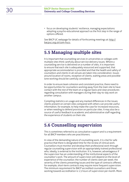• focus on developing students' resilience, managing expectations: adopting a psycho-educational approach as the first step in the range of options offered.

See BACP UC webpage for details of forthcoming meetings at: [http://](http://bacpuc.org.uk/com) [bacpuc.org.uk/com](http://bacpuc.org.uk/com)-hucs

### **5.5 Managing multiple sites**

It is important that counselling services in universities or colleges with multiple sites think carefully about service delivery issues. Where a counselling service is delivered on a number of sites, it is important to ensure that each site is adequately resourced and supported, that appropriate accommodation is provided and that the health and safety of counsellors and clients in all venues are taken into consideration. Issues around location of rooms, reception of clients, waiting areas and possible lone working should be carefully considered.

In order to ensure team cohesion and consistent practice, there need to be opportunities for counsellors working away from the main site to have contact with the rest of the team on a regular basis and clear procedures regarding consultation with managers during their day-to-day work on another campus.

Compiling statistics on usage and any marked differences in the issues clients present on certain sites compared with others can provide useful information, for example, to help make the case for increased resources, or when needing to defend provision on particular sites. It may also be a source of useful feedback to academic and administrative staff regarding the experience of students on their site.

### **5.6 Counselling supervision**

This is sometimes referred to as consultative support and is a requirement for all BACP members who are practitioners.

In view of the demanding nature of counselling work, it is vital for safe practice that there is designated time for the review of clinical work. Counsellors must monitor and develop their professional work through regular counselling supervision with an appropriately trained professional who, ideally, is external to the institution. It is, however, advantageous if the supervisor has an understanding of the institutional aspects of the counsellor's work. The amount of supervision will depend on the level of experience of the counsellor; the number of clients seen per week; the severity of the clients presenting issues and the type of contracts offered, for example, short-term contracts may require more frequent supervision. The minimum requirement for BACP accredited counsellors and those working towards accreditation is 1.5 hours of supervision per month. More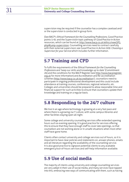supervision may be required if the counsellor has a complex caseload and/ or the supervision is conducted in group form.

(See BACP's *Ethical Framework for the Counselling Professions*, Good Practice points 5-61 and the Supervision topic pathway of *Good Practice in Action* resources, which can be found at: [http://www.bacp.co.uk/ethics/newGPG.](http://www.bacp.co.uk/ethics/newGPG.php) [php](http://www.bacp.co.uk/ethics/newGPG.php)#jump-supervision. Counselling services need to contract carefully with their external supervisors see Good Practice in Action 009: *Choosing a Supervisor for your Service* which includes further information.

### **5.7 Training and CPD**

To fulfil the requirements of the *Ethical Framework for the Counselling Professions* and 'keep our skills and knowledge up to date' (Commitment 2b) and the conditions for the BACP Register (see [http://www.bacpregister.](http://www.bacpregister.org.uk) [org.uk](http://www.bacpregister.org.uk) for more information) and Accreditation and Re-accreditation schemes [\(http://www.bacp.co.uk/accreditation](http://www.bacp.co.uk/accreditation)/), counsellors need to participate in ongoing professional development and this could include attendance at training courses, conferences, regional networks, etc. Colleges and universities should be prepared to allow reasonable time and financial support for such activities to ensure that counsellors update their knowledge and training on a regular basis.

### **5.8 Responding to the 24/7 culture**

We live in an age where technology is growing at a very fast pace and where there is a growing 24/7 culture, with some campus libraries and other facilities staying open all night.

Some college and university counselling services offer extended opening hours such as evening opening. It is good practice for services offering this to ensure that they have enough staff to cover late openings, so that counsellors are not working alone or in unsafe situations when most other staff have gone home.

Clients often contact university and college services out of hours, so it is important to have clear policies and statements on, answer phones, emails and all literature regarding the availability of the counselling service. It is also good practice to signpost potential clients to any available emergency/out-of-hours services and self-help information available.

### **5.9 Use of social media**

The majority of clients using university and college counselling services are very adept in their use of social media, and many services have tapped into this, embracing new ways of communicating with them, such as having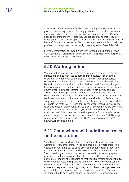a presence on Twitter and/or Facebook and hosting chatrooms for certain groups. Counselling services often signpost clients to self-help websites and apps, and even develop their own online/digital resources. Managers need to ensure the technologies they use are secure and that resources they signpost clients to are up to date and appropriate. Counsellors need to be careful about their own use of social media, not compromising their own professional integrity or inadvertently breaching a client's confidentiality.

For more information see Good Practice in Action 033: *Commonly Asked Questions about Social Media* for more information [\(http://www.bacp.co.uk/](http://www.bacp.co.uk/ethics/newGPG.php) [ethics/newGPG.php](http://www.bacp.co.uk/ethics/newGPG.php)#jump-online).

### **5.10 Working online**

Working online via video, or text communication is now offered by many institutions and, as with face-to-face counselling, issues such as the counsellor's competency to undertake this kind of work, boundaries, supervision, confidentiality and contracting have to be addressed, plus issues in relation to the kind of online platform used. Online working can be advantageous for students and staff who are away from the institution, e.g. involved in distance learning, or participating in a study abroad, an exchange or work placement scheme. Part-time students and staff sometimes have difficulty accessing face-to-face services due to work and family commitments, or the service being unavailable out of office hours. They may welcome an online facility, as might clients who are disabled, ill or unable to visit the counselling service for other reasons. Services need to decide whether their online service is only for clients who are physically unable to attend sessions in person, or whether it is offered as a choice to all clients eligible to use the counselling service. For more information about therapeutic work online see Good Practice Resource 047: *Working Online*, which can be downloaded at: [http://www.bacp.co.uk/ethics/](http://www.bacp.co.uk/ethics/newGPG.php) [newGPG.php#](http://www.bacp.co.uk/ethics/newGPG.php)jump-online

### **5.11 Counsellors with additional roles in the institution**

Sometimes counsellors have other roles in the institution, such as welfare, advisory or teaching. This can be problematic where there is no dedicated counselling space, or no other counsellor to refer a client to in circumstances where there could be a conflict of roles and boundaries. The counselling service and the institution need to have clearly agreed procedures for the management of different roles. This is essential, particularly in terms of responding to challenges regarding confidentiality, the therapeutic relationship and its boundaries. Where the roles can be kept separate, the counsellor is clear about boundaries and the institution values and respects counselling, it may be possible to manage these dual roles and they can in some cases be experienced as positive. Certain situations should be avoided though, for example, it is not appropriate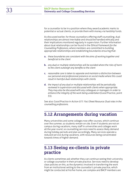for a counsellor to be in a position where they award academic marks to potential or actual clients, or provide them with money via hardship funds.

As discussed earlier, for those counsellors offering staff counselling, dual relationships are almost inevitable and should be handled ethically and their implications monitored regularly in supervision. Further information about dual relationships can be found in the *Ethical Framework for the Counselling Professions*, where members are committed to building appropriate relationships and establishing boundaries ensuring that:

- **a.** *these boundaries are consistent with the aims of working together and beneficial to the client*
- **b.** *any dual or multiple relationships will be avoided where the risks of harm to the client outweigh any benefits to the client*
- **c.** *reasonable care is taken to separate and maintain a distinction between our personal and professional presence on social media where this could result in harmful dual relationships with clients*
- **d.** *the impact of any dual or multiple relationships will be periodically reviewed in supervision and discussed with clients when appropriate. They may also be discussed with any colleagues or managers in order to enhance the integrity of the work being undertaken* (Good Practice, point 33).

See also: Good Practice in Action 077: *Fact Sheet Resource: Dual roles in the counselling professions*.

### **5.12 Arrangements during vacation**

Many universities and some colleges now offer courses, which continue over the summer, so students remain on site. Even if students are not on campus during vacations, many staff in universities and colleges work all the year round, so counselling services need to assess likely demand during holiday periods and plan accordingly. Many services operate a reduced service during vacations, with resources being concentrated towards times of higher demand.

### **5.13 Seeing ex-clients in private practice**

As clients sometimes ask whether they can continue seeing their university or college counsellor in their private practice. Services need to develop clear policies on this, as the dynamics involved in transferring the work from an institutional setting to the counsellor's private practice, which might be conducted at his/her home, are complex and BACP members are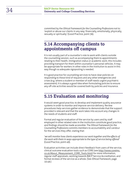committed by the *Ethical Framework for the Counselling Professions* not to: 'exploit or abuse our clients in any way: financially, emotionally, physically, sexually or spiritually' (Good Practice, point 36).

### **5.14 Accompanying clients to appointments off campus**

It is not usually part of a counsellor's role to work with clients outside the counselling session, such as accompanying them to appointments relating to their health, immigration status or academic work; this includes providing transport for them within counsellor's personal vehicles. It may be appropriate for workers in other roles in the institution to assist in this way though so adequate signposting is needed.

It is good practice for counselling services to have clear policies on responding to these kind of requests and any other emergencies and crises (e.g. where a student or member of staff needs urgent psychiatric assessment). It is always a good idea when formulating policies to ensure any off-site activities would be covered both by policies and insurance.

### **5.15 Evaluation and monitoring**

It would seem good practice, to develop and implement quality assurance systems in order to monitor and improve service delivery. Review procedures help services gather evidence to demonstrate that the support provided is relevant and that the work takes into account any changes in the needs of students and staff.

Formal and regular evaluation of the service by users and by staff employed in other related roles in the institution constitute good practice, and findings should be made accessible. The *Ethical Framework for the Counselling Professions* commits members to accountability and candour for the services they offer, stating that:

'*we will monitor how clients experience our work together and the effects of the work with them in ways appropriate to the type of service being offered*' (Good Practice, point 49).

Evaluation activities can include direct feedback from users of the service, clinical outcome evaluation tools such as CORE (see [http://www.coreims.](http://www.coreims.co.uk/About_Measurement_CORE_Tools.html) [co.uk/About\\_Measurement\\_CORE\\_Tools.html\)](http://www.coreims.co.uk/About_Measurement_CORE_Tools.html) for more information, regular staff appraisals, working towards BACP Service Accreditation, and formal reviews of the service as a whole. (See *Ethical Framework,* page 10:49.)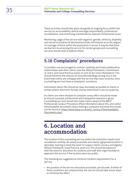These activities should take place alongside an ongoing focus within the service on accountability, ethical and legal responsibility, professional accreditation, and continuing commitment to relevant institutional issues.

Monitoring usage of the service with regard to: gender, ethnicity, disability and sexual orientation (if declared) provides information as to the degree of coverage of these within the population it serves. It may be that there are barriers to accessing the service for certain groups and counselling services should seek to address these.

### **5.16 Complaints' procedures**

Counsellors are encouraged to contract carefully and build collaborative relationships with their clients, (see the *Ethical Framework*, Commitment 3c and d, and Good Practice points 31 and 32 for more information). This should minimise the chances of misunderstandings arising, but in the event that clients are unhappy with the service they have received, most counselling services have a complaints' procedure.

Information about this should be clear and easily accessible to clients in written and/or electronic format, and be mentioned in service publicity.

As clients are often hesitant to complain, every effort should be made to ensure a prompt, professional and transparent response is given. Counselling services should also make clients aware of the BACP Professional Conduct Procedure. (More information about this, and useful downloadable documents about making a complaint and what this entails can be found at: [https://www.bacp.co.uk/prof\\_conduct/Downloadable\\_](https://www.bacp.co.uk/prof_conduct/Downloadable_Documents.php) [Documents.php.](https://www.bacp.co.uk/prof_conduct/Downloadable_Documents.php))

# **6. Location and accommodation**

The location of the counselling service within the institution needs to be considered carefully. An easily accessible and clearly signposted location is desirable, bearing in mind the need 'to respect clients' privacy and dignity' (*Ethical Framework,* Good Practice, point 21). This should be balanced with the need for discretion for students and staff who might hesitate to approach the service if the location were too public.

The following are suggested as minimum location requirements for a service:

• the position of the service should be accessible, yet discreet. If either of these conditions are compromised, the service should take active steps to minimise the effect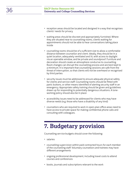- reception areas should be located and designed in a way that recognises clients' needs for privacy
- waiting areas should be discreet and appropriately furnished. Where they are situated near to counselling rooms, clients waiting for appointments should not be able to hear conversations taking place inside
- counselling rooms should be of a sufficient size to allow a comfortable distance between counsellor and client. Ideally, they should be in a quiet location, adequately ventilated and lit, with access to daylight via an openable window, and be private and soundproof. Furniture and decoration should create an atmosphere conducive to counselling. Room changes can disrupt the counselling process and are best kept to a minimum. It is important that counselling sessions are safe from the threat of interruption, so that clients will not be overheard or recognised by third parties
- security issues must be addressed to ensure adequate physical safety for clients and service staff. Counselling rooms should be fitted with panic buttons, or other means identified of alerting security staff in an emergency. Appropriate safety training should be given and guidelines drawn up for responding to potentially dangerous situations. A loneworking policy should also be in place
- accessibility issues need to be addressed for clients who may have diverse needs (e.g. those who have a disability of any kind)
- counsellors who are required to work in open-plan office areas need to have access to private space for making confidential phone calls and consulting with colleagues.

# **7. Budgetary provision**

Counselling service budgets should cover the following:

- salaries
- counselling supervision within paid contracted hours for each member of the counselling staff. Voluntary counsellors and trainees may have different arrangements
- ongoing professional development, including travel costs to attend courses and conferences
- books, journals and subscriptions relevant to the work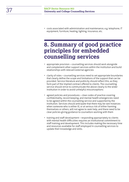• costs associated with administration and maintenance, e.g. telephone, IT equipment, furniture, heating, lighting, insurance, etc.

# **8. Summary of good practice principles for embedded counselling services**

- appropriate provision counselling services should work alongside and complement other support services within the institution and build relationships with relevant external agencies
- clarity of roles counselling services need to set appropriate boundaries that clearly define the scope and limitations of the support that can be provided. Service literature and publicity should reflect this, as they form part of the implied contract offered to clients. The counselling service should strive to communicate the above clearly to the wider institution in order to avoid unhelpful misconceptions
- agreed policies and procedures clear codes of practice covering confidentiality, record keeping, and mental health emergencies need to be agreed within the counselling service and supported by the institution. Services should anticipate that there may be rare instances when someone who is either ill, or at serious risk of either harming themselves or others, will not agree to seek help, and there need to be clear policies giving guidance to counsellors working with them
- training and staff development responding appropriately to clients with mental health difficulties requires an institutional commitment to staff training and development. This includes making the necessary time and resources available for staff employed in counselling services to update their knowledge and skills.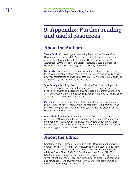# **9. Appendix: Further reading and useful resources**

### **About the Authors**

**Trevor Butlin**, Counselling and Wellbeing Team Leader, De Montfort University, Leicester, is a BACP accredited counsellor and has been in practice for 30 years, 17 in the HE sector. He has managed the (BACP Accredited) DMU service for the last six years. He is also a member of Heads of University Counselling Services (HUCS) Executive.

**Barbara Lawton** worked as a counsellor, trainer and supervisor in FE and HE for 25 years, most recently at the University of Leeds. She served on two BACP UC committees and was Chair of the Division in 2013/2014, on the FE SIG since 2015 and the Executive since 2017.

**Jane Darougar** is College Counsellor at Leyton Sixth Form College, with 17 years' experience of counselling and running a service in both FE and Sixth Form in North and East London. She is also a lecturer in Counselling at Hackney Community College. Jane has been on the BACP UC FE SIG since 2015 and on the Executive since 2017.

**Mary Jones** has been Student and Staff Counsellor at Newcastle under Lyme FE College for 12 years, on the Counsellors in FE subcommittee of BACP UC for eight years and Chair for two, writes for the UC Journal and coordinates the FE Jiscmail.

**Anne-Marie Bradley**, BACP Senior Accredited Counsellor has been a counsellor at University of the Arts London for over 25 years and was a member of the AUCC Advisory Service for 16 years, which she has also chaired. She taught and was an external examiner at Birkbeck College on a Counselling Certificate course for five years.

### **About the Editor**

Géraldine Dufour is Head of Counselling at the University of Cambridge, oversees the provision of psychological support, and leads a large team of counsellors, CBT therapists, mindfulness teacher and mental health advisors. She is Chair of BACP UC Division and past Chair of HUCS. Géraldine sits on various student mental health and wellbeing committees, speaks at national conferences and contributes to professional journals and newspapers. She taught on the MA in Counselling programmes at Leicester and Birmingham Universities.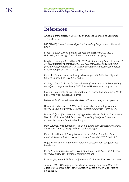### **References**

Ames, J. *Get the message*. University and College Counselling September 2014: pp10-13.

BACP (2016) *Ethical Framework for the Counselling Professions*. Lutterworth. BACP.

Broglia, E. *BACP Universities and Colleges annual survey 2013/2014*. University and College Counselling September 2015: pp4-9.

Broglia, E., Millings, A., Barkham, M. (2017) *The Counseling Center Assessment of Psychological Symptoms (CCAPS-62): Acceptance, feasibility, and initial psychometric properties in a UK student population*, Clinical Psychological Psychotherapy. doi: 10.1002/cpp.2070

Caleb, R. *Student mental wellbeing: whose responsibility?* University and College Counselling May 2015: pp4-8.

Collins, J., Dyer, C., Shave, D. *Counselling staff: How time limited counselling can effect change in wellbeing*. AUCC Journal November 2012: pp12-17.

Clowes, R. #promote. University and College Counselling September 2014: pp4-7 [http://bacpuc.org.uk/journal.](http://bacpuc.org.uk/journal)

Dailey, M. *Staff counselling works, OK!* AUCC Journal May 2012: pp23-24.

Dailey, M. and Abbott, T. (2013) BACP universities and colleges annual survey 2011/12. *University & College Counselling Journal*, March 2013.

Dufour, G. (2016) "Assessment: Laying the Foundation for Brief Therapeutic Work in HE" in Mair, D Ed) *Short-term Counselling in Higher Education: Context, Theory and Practice* (Routledge).

Mair, D. (2016) Introduction in Mair, D. (ed) *Short-term Counselling in Higher Education: Context, Theory and Practice* (Routledge).

Moore, J. and Lane, K. *Giving 'a face' to the institution: the value of an embedded counselling service*. AUCC Journal November 2012: pp18-22.

Nigel, M. *The adolescent brain* University & College Counselling Journal March 2017.

Percy, A. *Benchmark questions in clinical work of counsellors*. HUCS Jiscmail survey: August 2015. (Personal communication).

Rowland, H., Aster, J. *Making a difference!* AUCC Journal May 2012: pp13-18.

Tarren, S. (2016) Managing demand and surviving the work in Mair, D. (ed) *Short-term Counselling in Higher Education: Context, Theory and Practice* (Routledge).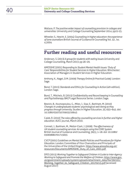Wallace, P. *The positive wider impact of counselling provision in colleges and universities*. University and College Counselling September 2014: pp22-25.

Wheeler, S., Hewitt, E. (2004) *Counselling in higher education: the experience of lone counsellors* British Journal of Guidance & Counselling Vol. 32 , Iss. 4,2004

### **Further reading and useful resources**

Anderson, S. (2013) *A group for students with eating issues* University and College Counselling, March 2013: pp 26–29.

AMOSSHE (2001) *Responding to Student Mental Health Issues: 'Duty of Care' Responsibilities for Student Services in Higher Education*. Winchester: Association of Managers in Student Services in Higher Education.

Anthony, K., Nagel, D.M. (2009) *Therapy Online [A Practical Guide]*. London: Sage.

Bond, T. (2015) *Standards and Ethics for Counselling in Action* (4th edition). London: Sage.

Bond, T., Mitchels, B. (2015) *Confidentiality and Record keeping in Counselling and Psychotherapy*. BACP Legal Resource Series. London: Sage.

Bewick, B., Koutsopoulou, G., Miles, J., Slaa, E., Barkham, M. (2010) *Changes in undergraduate students' psychological well-being as they progress through university.* Studies in Higher Education, 35, 633–645. doi: 10.1080/03075070903216643

Caleb, R. (2010) *The roles offered by counselling services in further and higher education*. AUCC journal, March 2010.

Connell, J., Barkham, M., Mellor-Clark, J. (2008). *The effectiveness of UK student counselling services: An analysis using the CORE System*. British Journal of Guidance and Counselling, 36(1), 1–18. doi: 10.1080/ 03069880701715655

CVCP (2001) *Guidelines on Mental Health Policies and Procedures for Higher Education*. London: Committee of Vice-Chancellors and Principals of the Universities of the United Kingdom. [https://www.amosshe.org.uk/](https://www.amosshe.org.uk/resources/Documents/AMOSSHE_Duty_of_Care_2001.pdf) [resources/Documents/AMOSSHE\\_Duty\\_of\\_Care\\_2001.pdf](https://www.amosshe.org.uk/resources/Documents/AMOSSHE_Duty_of_Care_2001.pdf)

DfES (2015) *Working Together to Safeguard Children: A Guide to Inter-Agency Working to Safeguard and Promote the Welfare of Children*. [https://www.gov.](https://www.gov.uk/government/uploads/system/uploads/attachment_data/file/592101/Working_Together_to_Safeguard_Children_20170213.pdf) [uk/government/uploads/system/uploads/attachment\\_data/file/592101/](https://www.gov.uk/government/uploads/system/uploads/attachment_data/file/592101/Working_Together_to_Safeguard_Children_20170213.pdf) [Working\\_Together\\_to\\_Safeguard\\_Children\\_20170213.pdf](https://www.gov.uk/government/uploads/system/uploads/attachment_data/file/592101/Working_Together_to_Safeguard_Children_20170213.pdf) (accessed August 2017)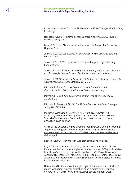# 41 **BACP Sector Resource 003 University and College Counselling Services**

Ecclestone, K., Hayes, D. (2008) *The Dangerous Rise of Therapeutic Education*, Routledge.

Hodgson, A. (2009) *Auditing a Small Counselling Service*. AUCC Journal, March 2009:25–26

Iarovici, D. (2014) *Mental Health in the University Student*, Baltimore: John Hopkins Press.

Jenkins, P. (2007) *Counselling, Psychotherapy and the Law* (2nd edition). London: Sage.

Jenkins, P. (ed) (2002) Legal Issues in Counselling and Psychotherapy. London: Sage.

Jenkins, P., Keter, V., Stone, J. (2004) *Psychotherapy and the Law: Questions and Answers for Counsellors and Psychotherapists*. London: Whurr.

Jenkins, P. (2007) *Reporting Suspected Child Abuse in College and University Counselling*. AUCC Journal, March 2007:21–23.

Mitchels, B., Bond, T. (2010) *Essential Law for Counsellors and Psychotherapists. BACP Legal Resource Series*: London: Sage.

Mitchels, B. (2009) *Safeguarding Vulnerable Groups*. Therapy Today 20(9):26–30.

Mitchels, B., Reeves, A. (2009) *The Right to Die: Law and Ethics*. Therapy Today 20(10):19–23.

Murray, A.L., McKenzie, K., Murray, K.R., Richelieu, M. (2015). *An analysis of the effectiveness of university counselling services*. British Journal of Guidance and Counselling, 44, 130–139. doi: 10.1080/ 03069885.2015.1043621

Office of the Children's Rights Director: Young Person's Guide to 'Working Together to Safeguard Children' [https://www.childrenscommissioner.](https://www.childrenscommissioner.gov.uk/wp-content/uploads/2017/07/Working-together-to-safeguard-children.pdf) [gov.uk/wp-content/uploads/2017/07/Working-together-to-safeguard](https://www.childrenscommissioner.gov.uk/wp-content/uploads/2017/07/Working-together-to-safeguard-children.pdf)[children.pdf](https://www.childrenscommissioner.gov.uk/wp-content/uploads/2017/07/Working-together-to-safeguard-children.pdf)

Reeves, A. (2009) *Working with Suicidal Clients*. London: Sage.

Royal College of Psychiatrists (2003 and 2011) College report CR166: Mental health of students in higher education, London, RCPsych. Available from: <http://www.rcpsych.ac.uk/files/pdfversion/cr166.pdf> (accessed August 2017). Stanley, N., Mallon, S., Bell, J., Hilton, S., Manthorpe, J. (2007) *Responses and Prevention in Student Suicide*. Preston: University of Central Lancashire and Papyrus.

Universities UK/Mental Wellbeing in Higher Education Group. Students' mental wellbeing in higher education good practice guide. London universities UK: 2015. [www.mwbhe.com/publications-resources](http://www.universitiesuk.ac.uk/policy-and-analysis/reports/Documents/2015/student-mental-wellbeing-in-he.pdf)